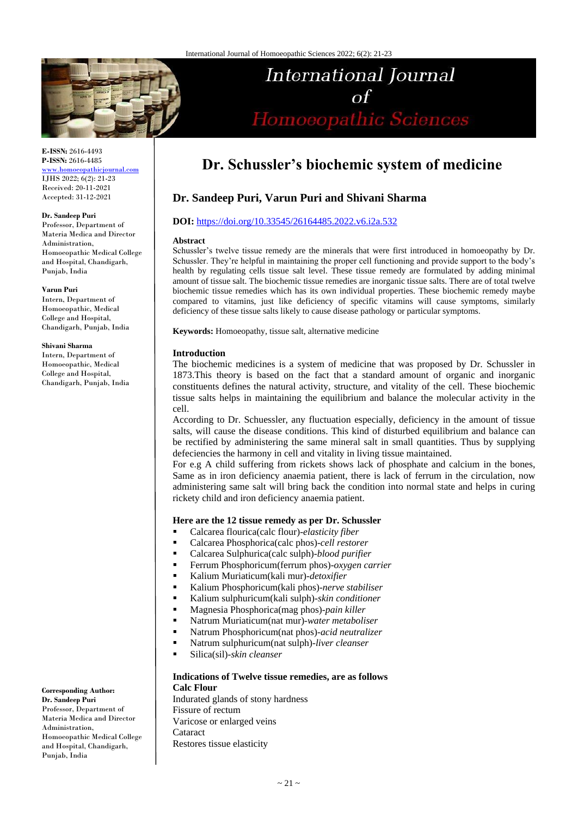

**E-ISSN:** 2616-4493 **P-ISSN:** 2616-4485 [www.homoeopathicjournal.com](http://www.homoeopathicjournal.com/)

IJHS 2022; 6(2): 21-23 Received: 20-11-2021 Accepted: 31-12-2021

#### **Dr. Sandeep Puri**

Professor, Department of Materia Medica and Director Administration, Homoeopathic Medical College and Hospital, Chandigarh, Punjab, India

#### **Varun Puri**

Intern, Department of Homoeopathic, Medical College and Hospital, Chandigarh, Punjab, India

#### **Shivani Sharma**

Intern, Department of Homoeopathic, Medical College and Hospital, Chandigarh, Punjab, India

**Corresponding Author: Dr. Sandeep Puri** Professor, Department of Materia Medica and Director Administration, Homoeopathic Medical College and Hospital, Chandigarh, Punjab, India

# **Dr. Schussler's biochemic system of medicine**

**International Journal** 

 $\Omega$ 

Homoeopathic Sciences

# **Dr. Sandeep Puri, Varun Puri and Shivani Sharma**

# **DOI:** <https://doi.org/10.33545/26164485.2022.v6.i2a.532>

#### **Abstract**

Schussler's twelve tissue remedy are the minerals that were first introduced in homoeopathy by Dr. Schussler. They're helpful in maintaining the proper cell functioning and provide support to the body's health by regulating cells tissue salt level. These tissue remedy are formulated by adding minimal amount of tissue salt. The biochemic tissue remedies are inorganic tissue salts. There are of total twelve biochemic tissue remedies which has its own individual properties. These biochemic remedy maybe compared to vitamins, just like deficiency of specific vitamins will cause symptoms, similarly deficiency of these tissue salts likely to cause disease pathology or particular symptoms.

**Keywords:** Homoeopathy, tissue salt, alternative medicine

#### **Introduction**

The biochemic medicines is a system of medicine that was proposed by Dr. Schussler in 1873.This theory is based on the fact that a standard amount of organic and inorganic constituents defines the natural activity, structure, and vitality of the cell. These biochemic tissue salts helps in maintaining the equilibrium and balance the molecular activity in the cell.

According to Dr. Schuessler, any fluctuation especially, deficiency in the amount of tissue salts, will cause the disease conditions. This kind of disturbed equilibrium and balance can be rectified by administering the same mineral salt in small quantities. Thus by supplying defeciencies the harmony in cell and vitality in living tissue maintained.

For e.g A child suffering from rickets shows lack of phosphate and calcium in the bones, Same as in iron deficiency anaemia patient, there is lack of ferrum in the circulation, now administering same salt will bring back the condition into normal state and helps in curing rickety child and iron deficiency anaemia patient.

#### **Here are the 12 tissue remedy as per Dr. Schussler**

- Calcarea flourica(calc flour)-*elasticity fiber*
- Calcarea Phosphorica(calc phos)-*cell restorer*
- Calcarea Sulphurica(calc sulph)-*blood purifier*
- Ferrum Phosphoricum(ferrum phos)-*oxygen carrier*
- Kalium Muriaticum(kali mur)-*detoxifier*
- Kalium Phosphoricum(kali phos)-*nerve stabiliser*
- Kalium sulphuricum(kali sulph)-*skin conditioner*
- Magnesia Phosphorica(mag phos)-*pain killer*
- Natrum Muriaticum(nat mur)-*water metaboliser*
- Natrum Phosphoricum(nat phos)-*acid neutralizer*
- Natrum sulphuricum(nat sulph)-*liver cleanser*
- Silica(sil)-*skin cleanser*

#### **Indications of Twelve tissue remedies, are as follows Calc Flour**

Indurated glands of stony hardness Fissure of rectum Varicose or enlarged veins Cataract Restores tissue elasticity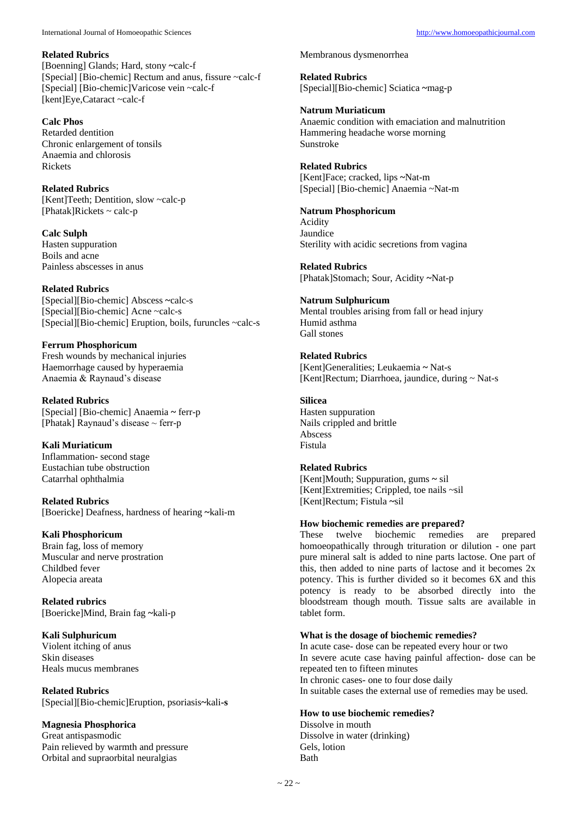#### **Related Rubrics**

[Boenning] Glands; Hard, stony **~**calc-f [Special] [Bio-chemic] Rectum and anus, fissure ~calc-f [Special] [Bio-chemic]Varicose vein ~calc-f [kent]Eye,Cataract ~calc-f

# **Calc Phos**

Retarded dentition Chronic enlargement of tonsils Anaemia and chlorosis Rickets

# **Related Rubrics**

[Kent]Teeth; Dentition, slow ~calc-p  $[Phatak]Rickets \sim calc-p$ 

# **Calc Sulph**

Hasten suppuration Boils and acne Painless abscesses in anus

## **Related Rubrics**

[Special][Bio-chemic] Abscess **~**calc-s [Special][Bio-chemic] Acne ~calc-s [Special][Bio-chemic] Eruption, boils, furuncles ~calc-s

#### **Ferrum Phosphoricum** Fresh wounds by mechanical injuries

Haemorrhage caused by hyperaemia Anaemia & Raynaud's disease

#### **Related Rubrics** [Special] [Bio-chemic] Anaemia **~** ferr-p [Phatak] Raynaud's disease  $\sim$  ferr-p

**Kali Muriaticum** Inflammation- second stage Eustachian tube obstruction Catarrhal ophthalmia

**Related Rubrics** [Boericke] Deafness, hardness of hearing **~**kali-m

## **Kali Phosphoricum**

Brain fag, loss of memory Muscular and nerve prostration Childbed fever Alopecia areata

## **Related rubrics** [Boericke]Mind, Brain fag **~**kali-p

**Kali Sulphuricum** Violent itching of anus Skin diseases Heals mucus membranes

#### **Related Rubrics** [Special][Bio-chemic]Eruption, psoriasis**~**kali**-s**

## **Magnesia Phosphorica**

Great antispasmodic Pain relieved by warmth and pressure Orbital and supraorbital neuralgias

#### Membranous dysmenorrhea

**Related Rubrics** [Special][Bio-chemic] Sciatica **~**mag-p

# **Natrum Muriaticum**

Anaemic condition with emaciation and malnutrition Hammering headache worse morning Sunstroke

#### **Related Rubrics**

[Kent]Face; cracked, lips **~**Nat-m [Special] [Bio-chemic] Anaemia ~Nat-m

## **Natrum Phosphoricum**

Acidity Jaundice Sterility with acidic secretions from vagina

## **Related Rubrics**

[Phatak]Stomach; Sour, Acidity **~**Nat-p

## **Natrum Sulphuricum**

Mental troubles arising from fall or head injury Humid asthma Gall stones

# **Related Rubrics**

[Kent]Generalities; Leukaemia **~** Nat-s [Kent]Rectum; Diarrhoea, jaundice, during ~ Nat-s

# **Silicea**

Hasten suppuration Nails crippled and brittle Abscess Fistula

## **Related Rubrics**

[Kent]Mouth; Suppuration, gums **~** sil [Kent]Extremities; Crippled, toe nails ~sil [Kent]Rectum; Fistula **~**sil

## **How biochemic remedies are prepared?**

These twelve biochemic remedies are prepared homoeopathically through trituration or dilution - one part pure mineral salt is added to nine parts lactose. One part of this, then added to nine parts of lactose and it becomes 2x potency. This is further divided so it becomes 6X and this potency is ready to be absorbed directly into the bloodstream though mouth. Tissue salts are available in tablet form.

## **What is the dosage of biochemic remedies?**

In acute case- dose can be repeated every hour or two In severe acute case having painful affection- dose can be repeated ten to fifteen minutes In chronic cases- one to four dose daily In suitable cases the external use of remedies may be used.

## **How to use biochemic remedies?**

Dissolve in mouth Dissolve in water (drinking) Gels, lotion Bath